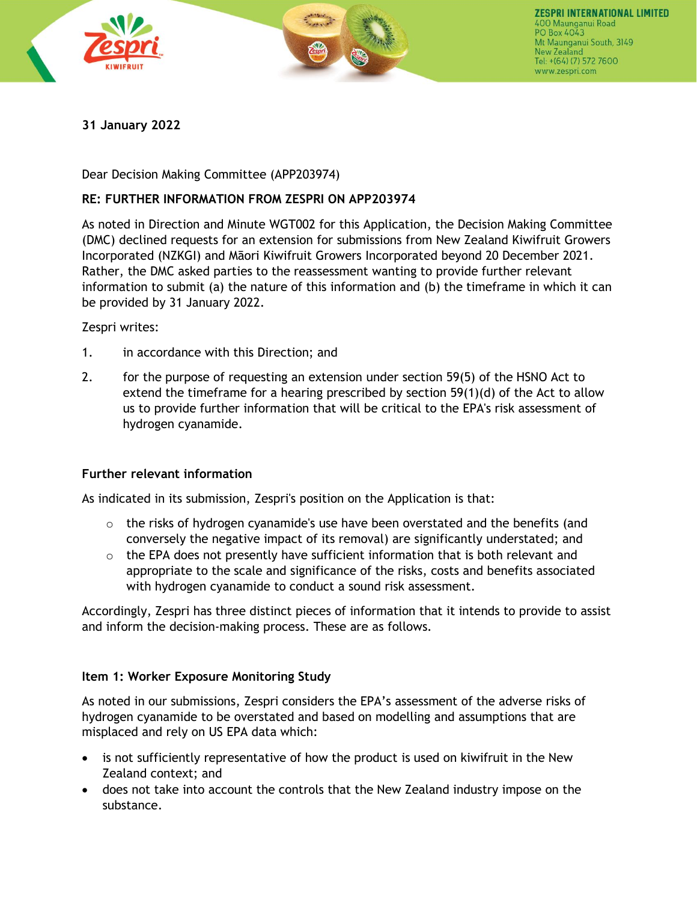



# **31 January 2022**

Dear Decision Making Committee (APP203974)

## **RE: FURTHER INFORMATION FROM ZESPRI ON APP203974**

As noted in Direction and Minute WGT002 for this Application, the Decision Making Committee (DMC) declined requests for an extension for submissions from New Zealand Kiwifruit Growers Incorporated (NZKGI) and Māori Kiwifruit Growers Incorporated beyond 20 December 2021. Rather, the DMC asked parties to the reassessment wanting to provide further relevant information to submit (a) the nature of this information and (b) the timeframe in which it can be provided by 31 January 2022.

Zespri writes:

- 1. in accordance with this Direction; and
- 2. for the purpose of requesting an extension under section 59(5) of the HSNO Act to extend the timeframe for a hearing prescribed by section 59(1)(d) of the Act to allow us to provide further information that will be critical to the EPA's risk assessment of hydrogen cyanamide.

## **Further relevant information**

As indicated in its submission, Zespri's position on the Application is that:

- $\circ$  the risks of hydrogen cyanamide's use have been overstated and the benefits (and conversely the negative impact of its removal) are significantly understated; and
- $\circ$  the EPA does not presently have sufficient information that is both relevant and appropriate to the scale and significance of the risks, costs and benefits associated with hydrogen cyanamide to conduct a sound risk assessment.

Accordingly, Zespri has three distinct pieces of information that it intends to provide to assist and inform the decision-making process. These are as follows.

### **Item 1: Worker Exposure Monitoring Study**

As noted in our submissions, Zespri considers the EPA's assessment of the adverse risks of hydrogen cyanamide to be overstated and based on modelling and assumptions that are misplaced and rely on US EPA data which:

- is not sufficiently representative of how the product is used on kiwifruit in the New Zealand context; and
- does not take into account the controls that the New Zealand industry impose on the substance.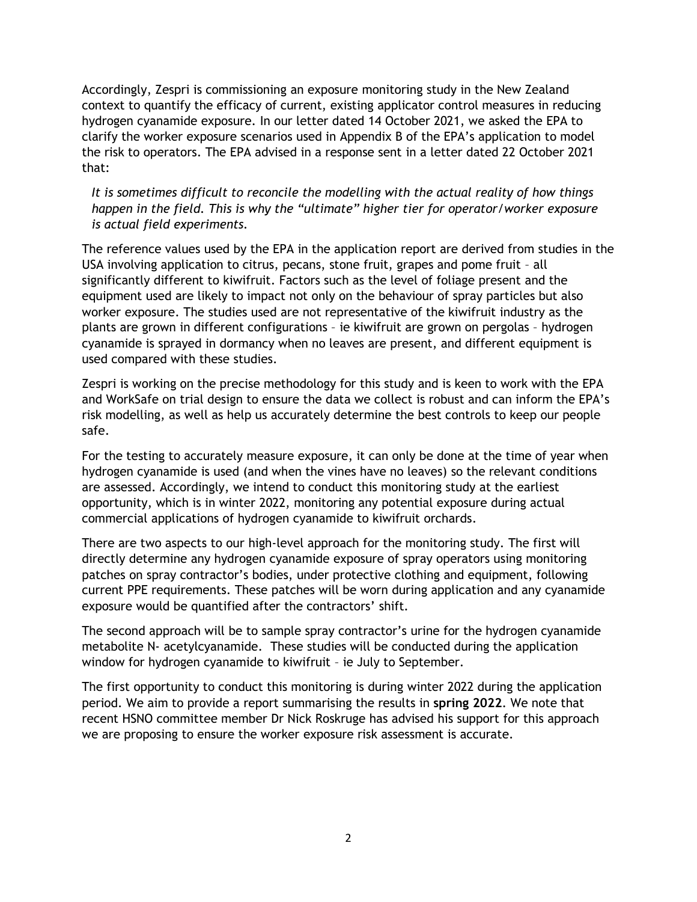Accordingly, Zespri is commissioning an exposure monitoring study in the New Zealand context to quantify the efficacy of current, existing applicator control measures in reducing hydrogen cyanamide exposure. In our letter dated 14 October 2021, we asked the EPA to clarify the worker exposure scenarios used in Appendix B of the EPA's application to model the risk to operators. The EPA advised in a response sent in a letter dated 22 October 2021 that:

*It is sometimes difficult to reconcile the modelling with the actual reality of how things happen in the field. This is why the "ultimate" higher tier for operator/worker exposure is actual field experiments.*

The reference values used by the EPA in the application report are derived from studies in the USA involving application to citrus, pecans, stone fruit, grapes and pome fruit – all significantly different to kiwifruit. Factors such as the level of foliage present and the equipment used are likely to impact not only on the behaviour of spray particles but also worker exposure. The studies used are not representative of the kiwifruit industry as the plants are grown in different configurations – ie kiwifruit are grown on pergolas – hydrogen cyanamide is sprayed in dormancy when no leaves are present, and different equipment is used compared with these studies.

Zespri is working on the precise methodology for this study and is keen to work with the EPA and WorkSafe on trial design to ensure the data we collect is robust and can inform the EPA's risk modelling, as well as help us accurately determine the best controls to keep our people safe.

For the testing to accurately measure exposure, it can only be done at the time of year when hydrogen cyanamide is used (and when the vines have no leaves) so the relevant conditions are assessed. Accordingly, we intend to conduct this monitoring study at the earliest opportunity, which is in winter 2022, monitoring any potential exposure during actual commercial applications of hydrogen cyanamide to kiwifruit orchards.

There are two aspects to our high-level approach for the monitoring study. The first will directly determine any hydrogen cyanamide exposure of spray operators using monitoring patches on spray contractor's bodies, under protective clothing and equipment, following current PPE requirements. These patches will be worn during application and any cyanamide exposure would be quantified after the contractors' shift.

The second approach will be to sample spray contractor's urine for the hydrogen cyanamide metabolite N- acetylcyanamide. These studies will be conducted during the application window for hydrogen cyanamide to kiwifruit – ie July to September.

The first opportunity to conduct this monitoring is during winter 2022 during the application period. We aim to provide a report summarising the results in **spring 2022**. We note that recent HSNO committee member Dr Nick Roskruge has advised his support for this approach we are proposing to ensure the worker exposure risk assessment is accurate.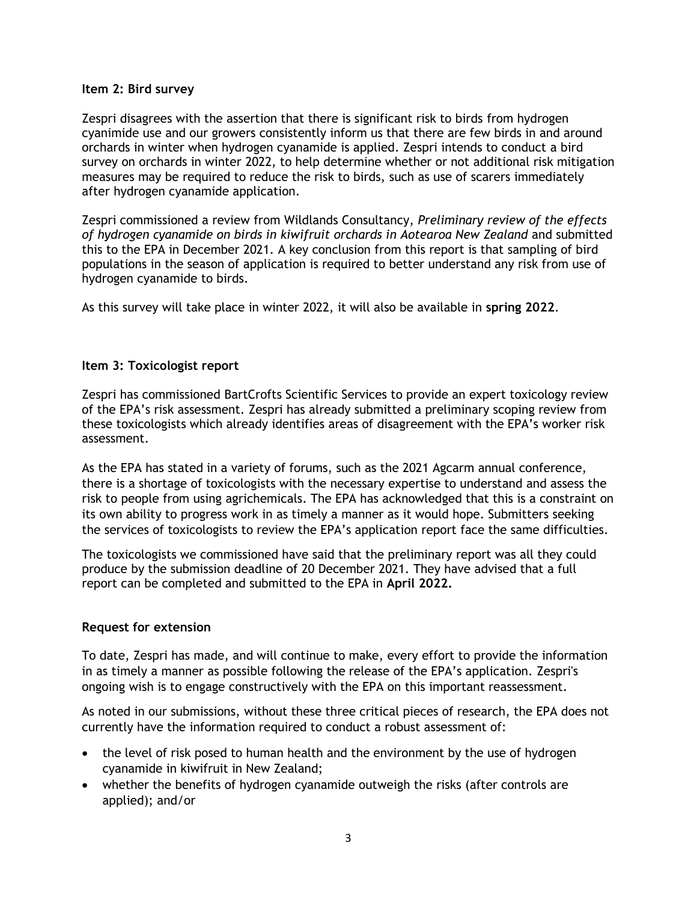#### **Item 2: Bird survey**

Zespri disagrees with the assertion that there is significant risk to birds from hydrogen cyanimide use and our growers consistently inform us that there are few birds in and around orchards in winter when hydrogen cyanamide is applied. Zespri intends to conduct a bird survey on orchards in winter 2022, to help determine whether or not additional risk mitigation measures may be required to reduce the risk to birds, such as use of scarers immediately after hydrogen cyanamide application.

Zespri commissioned a review from Wildlands Consultancy, *Preliminary review of the effects of hydrogen cyanamide on birds in kiwifruit orchards in Aotearoa New Zealand* and submitted this to the EPA in December 2021. A key conclusion from this report is that sampling of bird populations in the season of application is required to better understand any risk from use of hydrogen cyanamide to birds.

As this survey will take place in winter 2022, it will also be available in **spring 2022**.

### **Item 3: Toxicologist report**

Zespri has commissioned BartCrofts Scientific Services to provide an expert toxicology review of the EPA's risk assessment. Zespri has already submitted a preliminary scoping review from these toxicologists which already identifies areas of disagreement with the EPA's worker risk assessment.

As the EPA has stated in a variety of forums, such as the 2021 Agcarm annual conference, there is a shortage of toxicologists with the necessary expertise to understand and assess the risk to people from using agrichemicals. The EPA has acknowledged that this is a constraint on its own ability to progress work in as timely a manner as it would hope. Submitters seeking the services of toxicologists to review the EPA's application report face the same difficulties.

The toxicologists we commissioned have said that the preliminary report was all they could produce by the submission deadline of 20 December 2021. They have advised that a full report can be completed and submitted to the EPA in **April 2022.**

### **Request for extension**

To date, Zespri has made, and will continue to make, every effort to provide the information in as timely a manner as possible following the release of the EPA's application. Zespri's ongoing wish is to engage constructively with the EPA on this important reassessment.

As noted in our submissions, without these three critical pieces of research, the EPA does not currently have the information required to conduct a robust assessment of:

- the level of risk posed to human health and the environment by the use of hydrogen cyanamide in kiwifruit in New Zealand;
- whether the benefits of hydrogen cyanamide outweigh the risks (after controls are applied); and/or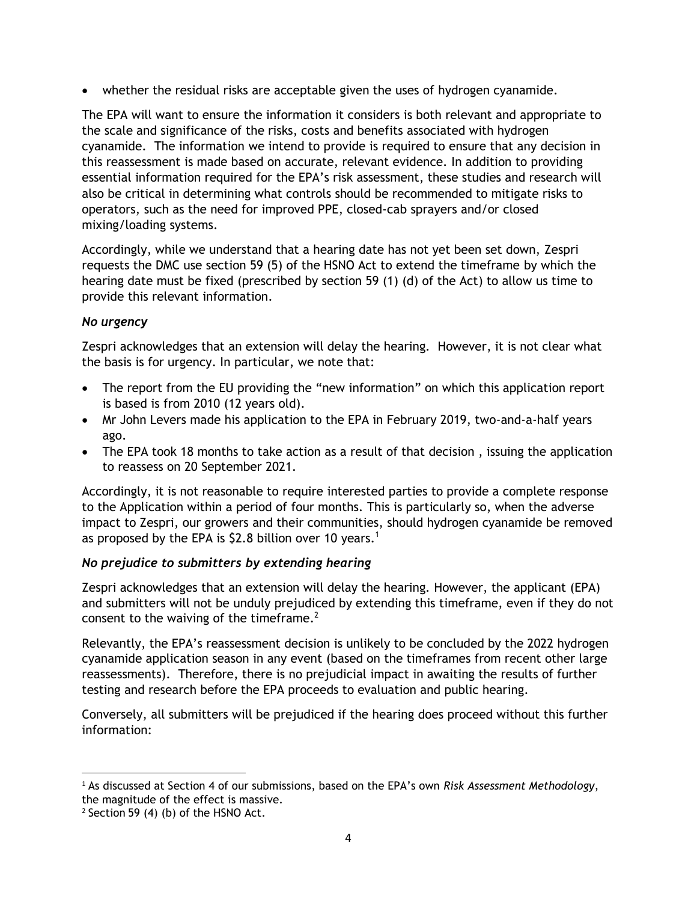• whether the residual risks are acceptable given the uses of hydrogen cyanamide.

The EPA will want to ensure the information it considers is both relevant and appropriate to the scale and significance of the risks, costs and benefits associated with hydrogen cyanamide. The information we intend to provide is required to ensure that any decision in this reassessment is made based on accurate, relevant evidence. In addition to providing essential information required for the EPA's risk assessment, these studies and research will also be critical in determining what controls should be recommended to mitigate risks to operators, such as the need for improved PPE, closed-cab sprayers and/or closed mixing/loading systems.

Accordingly, while we understand that a hearing date has not yet been set down, Zespri requests the DMC use section 59 (5) of the HSNO Act to extend the timeframe by which the hearing date must be fixed (prescribed by section 59 (1) (d) of the Act) to allow us time to provide this relevant information.

### *No urgency*

Zespri acknowledges that an extension will delay the hearing. However, it is not clear what the basis is for urgency. In particular, we note that:

- The report from the EU providing the "new information" on which this application report is based is from 2010 (12 years old).
- Mr John Levers made his application to the EPA in February 2019, two-and-a-half years ago.
- The EPA took 18 months to take action as a result of that decision, issuing the application to reassess on 20 September 2021.

Accordingly, it is not reasonable to require interested parties to provide a complete response to the Application within a period of four months. This is particularly so, when the adverse impact to Zespri, our growers and their communities, should hydrogen cyanamide be removed as proposed by the EPA is \$2.8 billion over 10 years.<sup>1</sup>

## *No prejudice to submitters by extending hearing*

Zespri acknowledges that an extension will delay the hearing. However, the applicant (EPA) and submitters will not be unduly prejudiced by extending this timeframe, even if they do not consent to the waiving of the timeframe. $2$ 

Relevantly, the EPA's reassessment decision is unlikely to be concluded by the 2022 hydrogen cyanamide application season in any event (based on the timeframes from recent other large reassessments). Therefore, there is no prejudicial impact in awaiting the results of further testing and research before the EPA proceeds to evaluation and public hearing.

Conversely, all submitters will be prejudiced if the hearing does proceed without this further information:

<sup>1</sup> As discussed at Section 4 of our submissions, based on the EPA's own *Risk Assessment Methodology*, the magnitude of the effect is massive.

 $2$  Section 59 (4) (b) of the HSNO Act.